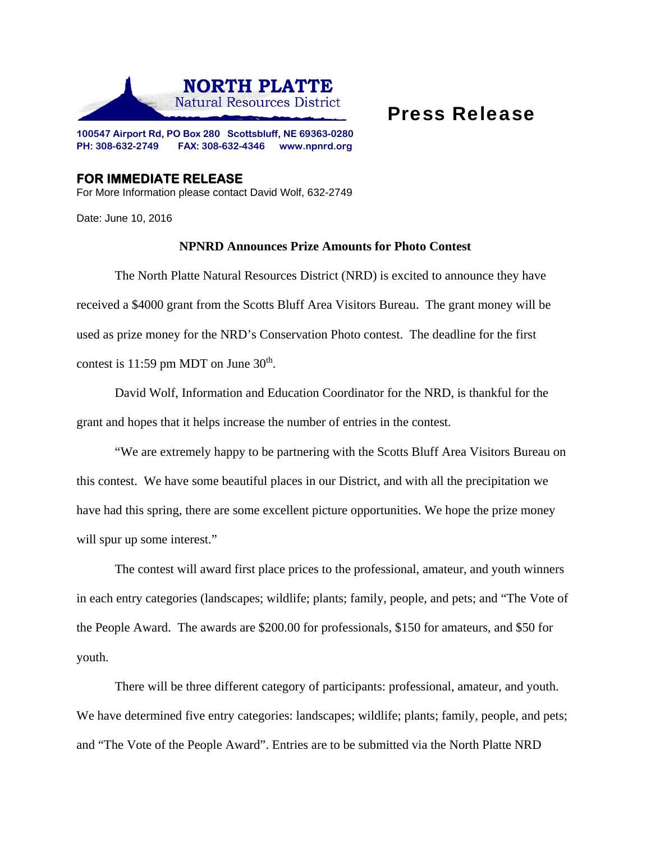

## Press Release

**100547 Airport Rd, PO Box 280 Scottsbluff, NE 69363-0280 PH: 308-632-2749 FAX: 308-632-4346 www.npnrd.org** 

## **FOR IMMEDIATE RELEASE**  For More Information please contact David Wolf, 632-2749

Date: June 10, 2016

## **NPNRD Announces Prize Amounts for Photo Contest**

The North Platte Natural Resources District (NRD) is excited to announce they have received a \$4000 grant from the Scotts Bluff Area Visitors Bureau. The grant money will be used as prize money for the NRD's Conservation Photo contest. The deadline for the first contest is  $11:59$  pm MDT on June  $30<sup>th</sup>$ .

David Wolf, Information and Education Coordinator for the NRD, is thankful for the grant and hopes that it helps increase the number of entries in the contest.

"We are extremely happy to be partnering with the Scotts Bluff Area Visitors Bureau on this contest. We have some beautiful places in our District, and with all the precipitation we have had this spring, there are some excellent picture opportunities. We hope the prize money will spur up some interest."

The contest will award first place prices to the professional, amateur, and youth winners in each entry categories (landscapes; wildlife; plants; family, people, and pets; and "The Vote of the People Award. The awards are \$200.00 for professionals, \$150 for amateurs, and \$50 for youth.

There will be three different category of participants: professional, amateur, and youth. We have determined five entry categories: landscapes; wildlife; plants; family, people, and pets; and "The Vote of the People Award". Entries are to be submitted via the North Platte NRD